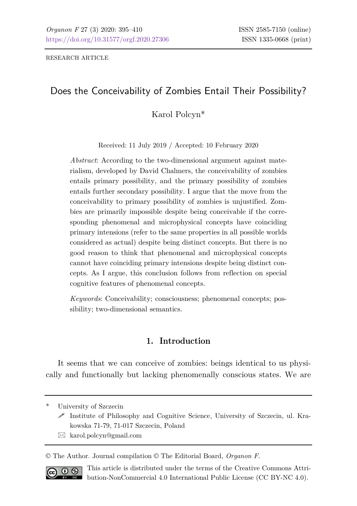RESEARCH ARTICLE

# Does the Conceivability of Zombies Entail Their Possibility?

Karol Polcyn\*

Received: 11 July 2019 / Accepted: 10 February 2020

*Abstract*: According to the two-dimensional argument against materialism, developed by David Chalmers, the conceivability of zombies entails primary possibility, and the primary possibility of zombies entails further secondary possibility. I argue that the move from the conceivability to primary possibility of zombies is unjustified. Zombies are primarily impossible despite being conceivable if the corresponding phenomenal and microphysical concepts have coinciding primary intensions (refer to the same properties in all possible worlds considered as actual) despite being distinct concepts. But there is no good reason to think that phenomenal and microphysical concepts cannot have coinciding primary intensions despite being distinct concepts. As I argue, this conclusion follows from reflection on special cognitive features of phenomenal concepts.

*Keywords*: Conceivability; consciousness; phenomenal concepts; possibility; two-dimensional semantics.

### **1. Introduction**

It seems that we can conceive of zombies: beings identical to us physically and functionally but lacking phenomenally conscious states. We are

\* University of Szczecin

 $\boxtimes$  karol.polcyn@gmail.com

© The Author. Journal compilation © The Editorial Board, *Organon F*.



This article is distributed under the terms of the Creative Commons Attribution-NonCommercial 4.0 International Public License (CC BY-NC 4.0).

Institute of Philosophy and Cognitive Science, University of Szczecin, ul. Krakowska 71-79, 71-017 Szczecin, Poland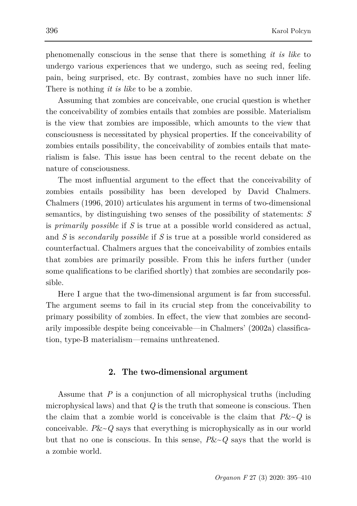phenomenally conscious in the sense that there is something *it is like* to undergo various experiences that we undergo, such as seeing red, feeling pain, being surprised, etc. By contrast, zombies have no such inner life. There is nothing *it is like* to be a zombie.

Assuming that zombies are conceivable, one crucial question is whether the conceivability of zombies entails that zombies are possible. Materialism is the view that zombies are impossible, which amounts to the view that consciousness is necessitated by physical properties. If the conceivability of zombies entails possibility, the conceivability of zombies entails that materialism is false. This issue has been central to the recent debate on the nature of consciousness.

The most influential argument to the effect that the conceivability of zombies entails possibility has been developed by David Chalmers. Chalmers (1996, 2010) articulates his argument in terms of two-dimensional semantics, by distinguishing two senses of the possibility of statements: *S* is *primarily possible* if *S* is true at a possible world considered as actual, and *S* is *secondarily possible* if *S* is true at a possible world considered as counterfactual. Chalmers argues that the conceivability of zombies entails that zombies are primarily possible. From this he infers further (under some qualifications to be clarified shortly) that zombies are secondarily possible.

Here I argue that the two-dimensional argument is far from successful. The argument seems to fail in its crucial step from the conceivability to primary possibility of zombies. In effect, the view that zombies are secondarily impossible despite being conceivable—in Chalmers' (2002a) classification, type-B materialism—remains unthreatened.

### **2. The two-dimensional argument**

Assume that *P* is a conjunction of all microphysical truths (including microphysical laws) and that *Q* is the truth that someone is conscious. Then the claim that a zombie world is conceivable is the claim that *P*&~*Q* is conceivable. *P*&~*Q* says that everything is microphysically as in our world but that no one is conscious. In this sense,  $P\&\sim Q$  says that the world is a zombie world.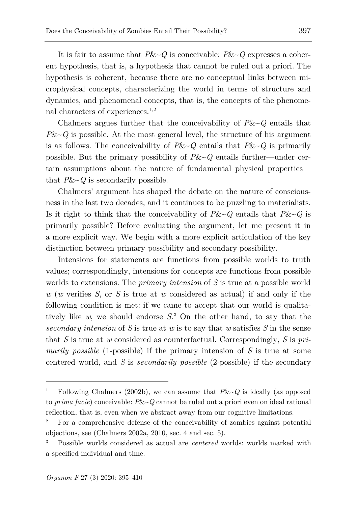It is fair to assume that *P*&~*Q* is conceivable: *P*&~*Q* expresses a coherent hypothesis, that is, a hypothesis that cannot be ruled out a priori. The hypothesis is coherent, because there are no conceptual links between microphysical concepts, characterizing the world in terms of structure and dynamics, and phenomenal concepts, that is, the concepts of the phenomenal characters of experiences. $1,2$  $1,2$ 

Chalmers argues further that the conceivability of *P*&~*Q* entails that  $P&<-Q$  is possible. At the most general level, the structure of his argument is as follows. The conceivability of  $P\&~Q$  entails that  $P\&~Q$  is primarily possible. But the primary possibility of *P*&~*Q* entails further—under certain assumptions about the nature of fundamental physical properties that *P*&~*Q* is secondarily possible.

Chalmers' argument has shaped the debate on the nature of consciousness in the last two decades, and it continues to be puzzling to materialists. Is it right to think that the conceivability of  $P\&\sim Q$  entails that  $P\&\sim Q$  is primarily possible? Before evaluating the argument, let me present it in a more explicit way. We begin with a more explicit articulation of the key distinction between primary possibility and secondary possibility.

Intensions for statements are functions from possible worlds to truth values; correspondingly, intensions for concepts are functions from possible worlds to extensions. The *primary intension* of *S* is true at a possible world *w* (*w* verifies *S*, or *S* is true at *w* considered as actual) if and only if the following condition is met: if we came to accept that our world is qualitatively like *w*, we should endorse *S*. [3](#page-2-2) On the other hand, to say that the *secondary intension* of *S* is true at *w* is to say that *w* satisfies *S* in the sense that *S* is true at *w* considered as counterfactual. Correspondingly, *S* is *primarily possible* (1-possible) if the primary intension of *S* is true at some centered world, and *S* is *secondarily possible* (2-possible) if the secondary

<span id="page-2-0"></span><sup>1</sup> Following Chalmers (2002b), we can assume that *P*&~*Q* is ideally (as opposed to *prima facie*) conceivable: *P*&~*Q* cannot be ruled out a priori even on ideal rational reflection, that is, even when we abstract away from our cognitive limitations.

<span id="page-2-1"></span><sup>2</sup> For a comprehensive defense of the conceivability of zombies against potential objections, see (Chalmers 2002a, 2010, sec. 4 and sec. 5).

<span id="page-2-2"></span><sup>3</sup> Possible worlds considered as actual are *centered* worlds: worlds marked with a specified individual and time.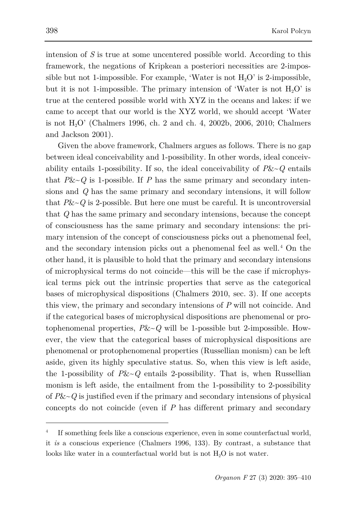intension of *S* is true at some uncentered possible world. According to this framework, the negations of Kripkean a posteriori necessities are 2-impossible but not 1-impossible. For example, 'Water is not  $H_2O'$  is 2-impossible, but it is not 1-impossible. The primary intension of 'Water is not  $H_2O'$  is true at the centered possible world with XYZ in the oceans and lakes: if we came to accept that our world is the XYZ world, we should accept 'Water is not H2O' (Chalmers 1996, ch. 2 and ch. 4, 2002b, 2006, 2010; Chalmers and Jackson 2001).

Given the above framework, Chalmers argues as follows. There is no gap between ideal conceivability and 1-possibility. In other words, ideal conceivability entails 1-possibility. If so, the ideal conceivability of  $P&&\sim Q$  entails that  $P&&\sim Q$  is 1-possible. If *P* has the same primary and secondary intensions and *Q* has the same primary and secondary intensions, it will follow that  $P&Q$  is 2-possible. But here one must be careful. It is uncontroversial that *Q* has the same primary and secondary intensions, because the concept of consciousness has the same primary and secondary intensions: the primary intension of the concept of consciousness picks out a phenomenal feel, and the secondary intension picks out a phenomenal feel as well.[4](#page-3-0) On the other hand, it is plausible to hold that the primary and secondary intensions of microphysical terms do not coincide—this will be the case if microphysical terms pick out the intrinsic properties that serve as the categorical bases of microphysical dispositions (Chalmers 2010, sec. 3). If one accepts this view, the primary and secondary intensions of *P* will not coincide. And if the categorical bases of microphysical dispositions are phenomenal or protophenomenal properties, *P*&~*Q* will be 1-possible but 2-impossible. However, the view that the categorical bases of microphysical dispositions are phenomenal or protophenomenal properties (Russellian monism) can be left aside, given its highly speculative status. So, when this view is left aside, the 1-possibility of  $P&Q$  entails 2-possibility. That is, when Russellian monism is left aside, the entailment from the 1-possibility to 2-possibility of *P*&~*Q* is justified even if the primary and secondary intensions of physical concepts do not coincide (even if *P* has different primary and secondary

<span id="page-3-0"></span><sup>4</sup> If something feels like a conscious experience, even in some counterfactual world, it *is* a conscious experience (Chalmers 1996, 133). By contrast, a substance that looks like water in a counterfactual world but is not H<sub>2</sub>O is not water.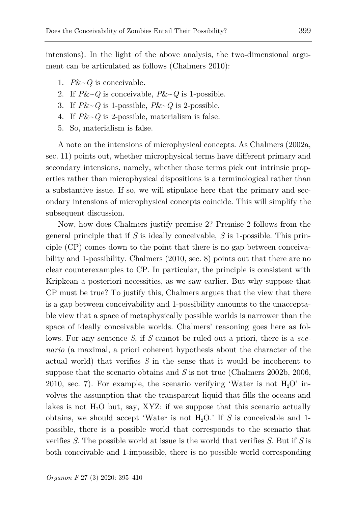intensions). In the light of the above analysis, the two-dimensional argument can be articulated as follows (Chalmers 2010):

- 1. *P*&~*Q* is conceivable.
- 2. If *P*&~*Q* is conceivable, *P*&~*Q* is 1-possible.
- 3. If  $P&Q \subseteq \text{is 1-possible}$ ,  $P&Q \subseteq \text{possible}$ .
- 4. If *P*&~*Q* is 2-possible, materialism is false.
- 5. So, materialism is false.

A note on the intensions of microphysical concepts. As Chalmers (2002a, sec. 11) points out, whether microphysical terms have different primary and secondary intensions, namely, whether those terms pick out intrinsic properties rather than microphysical dispositions is a terminological rather than a substantive issue. If so, we will stipulate here that the primary and secondary intensions of microphysical concepts coincide. This will simplify the subsequent discussion.

Now, how does Chalmers justify premise 2? Premise 2 follows from the general principle that if *S* is ideally conceivable, *S* is 1-possible. This principle (CP) comes down to the point that there is no gap between conceivability and 1-possibility. Chalmers (2010, sec. 8) points out that there are no clear counterexamples to CP. In particular, the principle is consistent with Kripkean a posteriori necessities, as we saw earlier. But why suppose that CP must be true? To justify this, Chalmers argues that the view that there is a gap between conceivability and 1-possibility amounts to the unacceptable view that a space of metaphysically possible worlds is narrower than the space of ideally conceivable worlds. Chalmers' reasoning goes here as follows. For any sentence *S*, if *S* cannot be ruled out a priori, there is a *scenario* (a maximal, a priori coherent hypothesis about the character of the actual world) that verifies *S* in the sense that it would be incoherent to suppose that the scenario obtains and *S* is not true (Chalmers 2002b, 2006, 2010, sec. 7). For example, the scenario verifying 'Water is not  $H_2O'$  involves the assumption that the transparent liquid that fills the oceans and lakes is not  $H<sub>2</sub>O$  but, say, XYZ: if we suppose that this scenario actually obtains, we should accept 'Water is not  $H_2O$ .' If *S* is conceivable and 1possible, there is a possible world that corresponds to the scenario that verifies *S*. The possible world at issue is the world that verifies *S.* But if *S* is both conceivable and 1-impossible, there is no possible world corresponding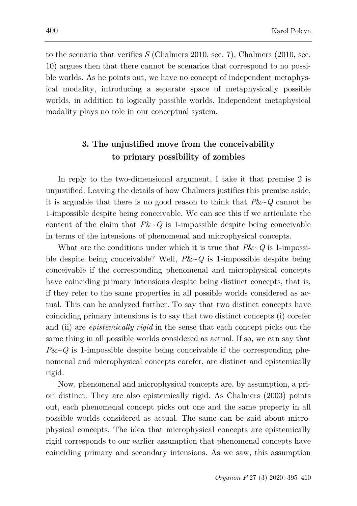to the scenario that verifies *S* (Chalmers 2010, sec. 7). Chalmers (2010, sec. 10) argues then that there cannot be scenarios that correspond to no possible worlds. As he points out, we have no concept of independent metaphysical modality, introducing a separate space of metaphysically possible worlds, in addition to logically possible worlds. Independent metaphysical modality plays no role in our conceptual system.

## **3. The unjustified move from the conceivability to primary possibility of zombies**

In reply to the two-dimensional argument, I take it that premise 2 is unjustified. Leaving the details of how Chalmers justifies this premise aside, it is arguable that there is no good reason to think that *P*&~*Q* cannot be 1-impossible despite being conceivable. We can see this if we articulate the content of the claim that  $P&&\sim Q$  is 1-impossible despite being conceivable in terms of the intensions of phenomenal and microphysical concepts.

What are the conditions under which it is true that *P*&~*Q* is 1-impossible despite being conceivable? Well, *P*&~*Q* is 1-impossible despite being conceivable if the corresponding phenomenal and microphysical concepts have coinciding primary intensions despite being distinct concepts, that is, if they refer to the same properties in all possible worlds considered as actual. This can be analyzed further. To say that two distinct concepts have coinciding primary intensions is to say that two distinct concepts (i) corefer and (ii) are *epistemically rigid* in the sense that each concept picks out the same thing in all possible worlds considered as actual. If so, we can say that  $P&Q$  is 1-impossible despite being conceivable if the corresponding phenomenal and microphysical concepts corefer, are distinct and epistemically rigid.

Now, phenomenal and microphysical concepts are, by assumption, a priori distinct. They are also epistemically rigid. As Chalmers (2003) points out, each phenomenal concept picks out one and the same property in all possible worlds considered as actual. The same can be said about microphysical concepts. The idea that microphysical concepts are epistemically rigid corresponds to our earlier assumption that phenomenal concepts have coinciding primary and secondary intensions. As we saw, this assumption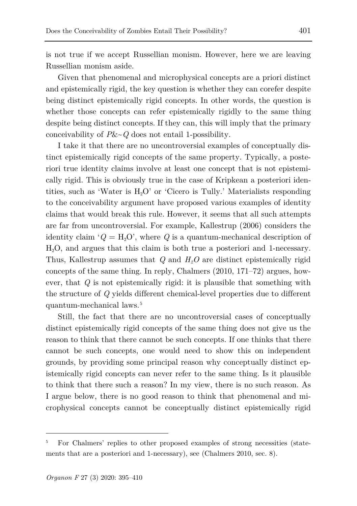is not true if we accept Russellian monism. However, here we are leaving Russellian monism aside.

Given that phenomenal and microphysical concepts are a priori distinct and epistemically rigid, the key question is whether they can corefer despite being distinct epistemically rigid concepts. In other words, the question is whether those concepts can refer epistemically rigidly to the same thing despite being distinct concepts. If they can, this will imply that the primary conceivability of *P*&~*Q* does not entail 1-possibility.

I take it that there are no uncontroversial examples of conceptually distinct epistemically rigid concepts of the same property. Typically, a posteriori true identity claims involve at least one concept that is not epistemically rigid. This is obviously true in the case of Kripkean a posteriori identities, such as 'Water is  $H_2O'$  or 'Cicero is Tully.' Materialists responding to the conceivability argument have proposed various examples of identity claims that would break this rule. However, it seems that all such attempts are far from uncontroversial. For example, Kallestrup (2006) considers the identity claim ' $Q = H_2O'$ , where Q is a quantum-mechanical description of H2O, and argues that this claim is both true a posteriori and 1-necessary. Thus, Kallestrup assumes that *Q* and *H2O* are distinct epistemically rigid concepts of the same thing. In reply, Chalmers (2010, 171–72) argues, however, that *Q* is not epistemically rigid: it is plausible that something with the structure of *Q* yields different chemical-level properties due to different quantum-mechanical laws.<sup>[5](#page-6-0)</sup>

Still, the fact that there are no uncontroversial cases of conceptually distinct epistemically rigid concepts of the same thing does not give us the reason to think that there cannot be such concepts. If one thinks that there cannot be such concepts, one would need to show this on independent grounds, by providing some principal reason why conceptually distinct epistemically rigid concepts can never refer to the same thing. Is it plausible to think that there such a reason? In my view, there is no such reason. As I argue below, there is no good reason to think that phenomenal and microphysical concepts cannot be conceptually distinct epistemically rigid

<span id="page-6-0"></span><sup>5</sup> For Chalmers' replies to other proposed examples of strong necessities (statements that are a posteriori and 1-necessary), see (Chalmers 2010, sec. 8).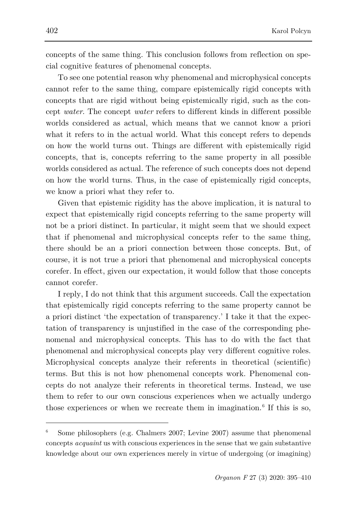concepts of the same thing. This conclusion follows from reflection on special cognitive features of phenomenal concepts.

To see one potential reason why phenomenal and microphysical concepts cannot refer to the same thing, compare epistemically rigid concepts with concepts that are rigid without being epistemically rigid, such as the concept *water*. The concept *water* refers to different kinds in different possible worlds considered as actual, which means that we cannot know a priori what it refers to in the actual world. What this concept refers to depends on how the world turns out. Things are different with epistemically rigid concepts, that is, concepts referring to the same property in all possible worlds considered as actual. The reference of such concepts does not depend on how the world turns. Thus, in the case of epistemically rigid concepts, we know a priori what they refer to.

Given that epistemic rigidity has the above implication, it is natural to expect that epistemically rigid concepts referring to the same property will not be a priori distinct. In particular, it might seem that we should expect that if phenomenal and microphysical concepts refer to the same thing, there should be an a priori connection between those concepts. But, of course, it is not true a priori that phenomenal and microphysical concepts corefer. In effect, given our expectation, it would follow that those concepts cannot corefer.

I reply, I do not think that this argument succeeds. Call the expectation that epistemically rigid concepts referring to the same property cannot be a priori distinct 'the expectation of transparency.' I take it that the expectation of transparency is unjustified in the case of the corresponding phenomenal and microphysical concepts. This has to do with the fact that phenomenal and microphysical concepts play very different cognitive roles. Microphysical concepts analyze their referents in theoretical (scientific) terms. But this is not how phenomenal concepts work. Phenomenal concepts do not analyze their referents in theoretical terms. Instead, we use them to refer to our own conscious experiences when we actually undergo those experiences or when we recreate them in imagination.<sup>[6](#page-7-0)</sup> If this is so,

<span id="page-7-0"></span><sup>6</sup> Some philosophers (e.g. Chalmers 2007; Levine 2007) assume that phenomenal concepts *acquaint* us with conscious experiences in the sense that we gain substantive knowledge about our own experiences merely in virtue of undergoing (or imagining)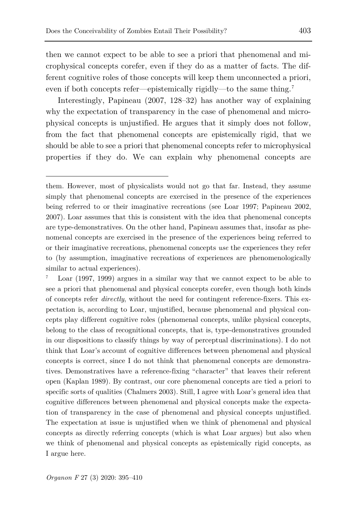then we cannot expect to be able to see a priori that phenomenal and microphysical concepts corefer, even if they do as a matter of facts. The different cognitive roles of those concepts will keep them unconnected a priori, even if both concepts refer—epistemically rigidly—to the same thing.[7](#page-8-0)

Interestingly, Papineau (2007, 128–32) has another way of explaining why the expectation of transparency in the case of phenomenal and microphysical concepts is unjustified. He argues that it simply does not follow, from the fact that phenomenal concepts are epistemically rigid, that we should be able to see a priori that phenomenal concepts refer to microphysical properties if they do. We can explain why phenomenal concepts are

ł

them. However, most of physicalists would not go that far. Instead, they assume simply that phenomenal concepts are exercised in the presence of the experiences being referred to or their imaginative recreations (see Loar 1997; Papineau 2002, 2007). Loar assumes that this is consistent with the idea that phenomenal concepts are type-demonstratives. On the other hand, Papineau assumes that, insofar as phenomenal concepts are exercised in the presence of the experiences being referred to or their imaginative recreations, phenomenal concepts *use* the experiences they refer to (by assumption, imaginative recreations of experiences are phenomenologically similar to actual experiences).

<span id="page-8-0"></span>Loar (1997, 1999) argues in a similar way that we cannot expect to be able to see a priori that phenomenal and physical concepts corefer, even though both kinds of concepts refer *directly*, without the need for contingent reference-fixers. This expectation is, according to Loar, unjustified, because phenomenal and physical concepts play different cognitive roles (phenomenal concepts, unlike physical concepts, belong to the class of recognitional concepts, that is, type-demonstratives grounded in our dispositions to classify things by way of perceptual discriminations). I do not think that Loar's account of cognitive differences between phenomenal and physical concepts is correct, since I do not think that phenomenal concepts are demonstratives. Demonstratives have a reference-fixing "character" that leaves their referent open (Kaplan 1989). By contrast, our core phenomenal concepts are tied a priori to specific sorts of qualities (Chalmers 2003). Still, I agree with Loar's general idea that cognitive differences between phenomenal and physical concepts make the expectation of transparency in the case of phenomenal and physical concepts unjustified. The expectation at issue is unjustified when we think of phenomenal and physical concepts as directly referring concepts (which is what Loar argues) but also when we think of phenomenal and physical concepts as epistemically rigid concepts, as I argue here.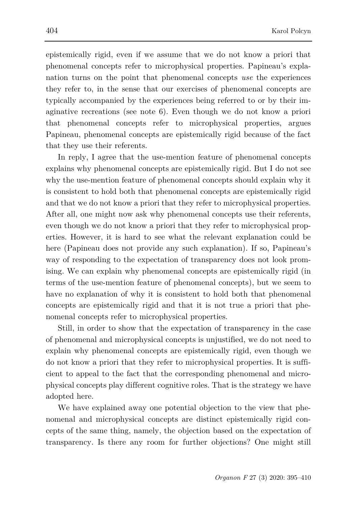epistemically rigid, even if we assume that we do not know a priori that phenomenal concepts refer to microphysical properties. Papineau's explanation turns on the point that phenomenal concepts *use* the experiences they refer to, in the sense that our exercises of phenomenal concepts are typically accompanied by the experiences being referred to or by their imaginative recreations (see note 6). Even though we do not know a priori that phenomenal concepts refer to microphysical properties, argues Papineau, phenomenal concepts are epistemically rigid because of the fact that they use their referents.

In reply, I agree that the use-mention feature of phenomenal concepts explains why phenomenal concepts are epistemically rigid. But I do not see why the use-mention feature of phenomenal concepts should explain why it is consistent to hold both that phenomenal concepts are epistemically rigid and that we do not know a priori that they refer to microphysical properties. After all, one might now ask why phenomenal concepts use their referents, even though we do not know a priori that they refer to microphysical properties. However, it is hard to see what the relevant explanation could be here (Papineau does not provide any such explanation). If so, Papineau's way of responding to the expectation of transparency does not look promising. We can explain why phenomenal concepts are epistemically rigid (in terms of the use-mention feature of phenomenal concepts), but we seem to have no explanation of why it is consistent to hold both that phenomenal concepts are epistemically rigid and that it is not true a priori that phenomenal concepts refer to microphysical properties.

Still, in order to show that the expectation of transparency in the case of phenomenal and microphysical concepts is unjustified, we do not need to explain why phenomenal concepts are epistemically rigid, even though we do not know a priori that they refer to microphysical properties. It is sufficient to appeal to the fact that the corresponding phenomenal and microphysical concepts play different cognitive roles. That is the strategy we have adopted here.

We have explained away one potential objection to the view that phenomenal and microphysical concepts are distinct epistemically rigid concepts of the same thing, namely, the objection based on the expectation of transparency. Is there any room for further objections? One might still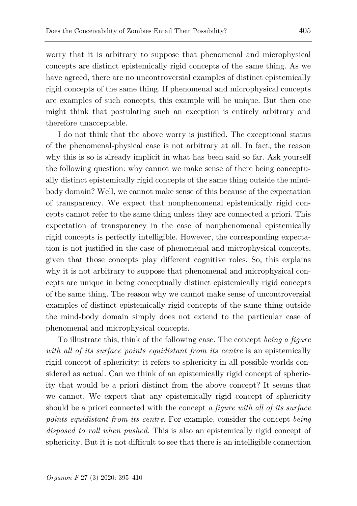worry that it is arbitrary to suppose that phenomenal and microphysical concepts are distinct epistemically rigid concepts of the same thing. As we have agreed, there are no uncontroversial examples of distinct epistemically rigid concepts of the same thing. If phenomenal and microphysical concepts are examples of such concepts, this example will be unique. But then one might think that postulating such an exception is entirely arbitrary and therefore unacceptable.

I do not think that the above worry is justified. The exceptional status of the phenomenal-physical case is not arbitrary at all. In fact, the reason why this is so is already implicit in what has been said so far. Ask yourself the following question: why cannot we make sense of there being conceptually distinct epistemically rigid concepts of the same thing outside the mindbody domain? Well, we cannot make sense of this because of the expectation of transparency. We expect that nonphenomenal epistemically rigid concepts cannot refer to the same thing unless they are connected a priori. This expectation of transparency in the case of nonphenomenal epistemically rigid concepts is perfectly intelligible. However, the corresponding expectation is not justified in the case of phenomenal and microphysical concepts, given that those concepts play different cognitive roles. So, this explains why it is not arbitrary to suppose that phenomenal and microphysical concepts are unique in being conceptually distinct epistemically rigid concepts of the same thing. The reason why we cannot make sense of uncontroversial examples of distinct epistemically rigid concepts of the same thing outside the mind-body domain simply does not extend to the particular case of phenomenal and microphysical concepts.

To illustrate this, think of the following case. The concept *being a figure with all of its surface points equidistant from its centre* is an epistemically rigid concept of sphericity: it refers to sphericity in all possible worlds considered as actual. Can we think of an epistemically rigid concept of sphericity that would be a priori distinct from the above concept? It seems that we cannot. We expect that any epistemically rigid concept of sphericity should be a priori connected with the concept *a figure with all of its surface points equidistant from its centre*. For example, consider the concept *being disposed to roll when pushed*. This is also an epistemically rigid concept of sphericity. But it is not difficult to see that there is an intelligible connection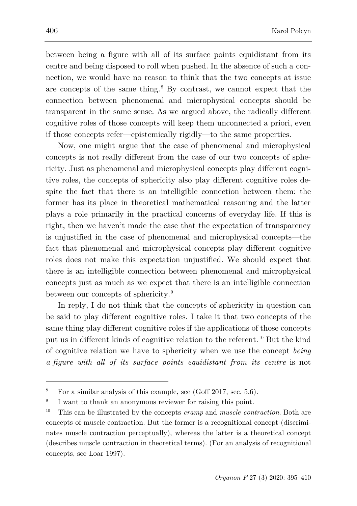between being a figure with all of its surface points equidistant from its centre and being disposed to roll when pushed. In the absence of such a connection, we would have no reason to think that the two concepts at issue are concepts of the same thing.[8](#page-11-0) By contrast, we cannot expect that the connection between phenomenal and microphysical concepts should be transparent in the same sense. As we argued above, the radically different cognitive roles of those concepts will keep them unconnected a priori, even if those concepts refer—epistemically rigidly—to the same properties.

Now, one might argue that the case of phenomenal and microphysical concepts is not really different from the case of our two concepts of sphericity. Just as phenomenal and microphysical concepts play different cognitive roles, the concepts of sphericity also play different cognitive roles despite the fact that there is an intelligible connection between them: the former has its place in theoretical mathematical reasoning and the latter plays a role primarily in the practical concerns of everyday life. If this is right, then we haven't made the case that the expectation of transparency is unjustified in the case of phenomenal and microphysical concepts—the fact that phenomenal and microphysical concepts play different cognitive roles does not make this expectation unjustified. We should expect that there is an intelligible connection between phenomenal and microphysical concepts just as much as we expect that there is an intelligible connection between our concepts of sphericity.[9](#page-11-1)

In reply, I do not think that the concepts of sphericity in question can be said to play different cognitive roles. I take it that two concepts of the same thing play different cognitive roles if the applications of those concepts put us in different kinds of cognitive relation to the referent.[10](#page-11-2) But the kind of cognitive relation we have to sphericity when we use the concept *being a figure with all of its surface points equidistant from its centre* is not

<span id="page-11-0"></span><sup>&</sup>lt;sup>8</sup> For a similar analysis of this example, see (Goff 2017, sec.  $5.6$ ).

<span id="page-11-1"></span><sup>&</sup>lt;sup>9</sup> I want to thank an anonymous reviewer for raising this point.

<span id="page-11-2"></span><sup>10</sup> This can be illustrated by the concepts *cramp* and *muscle contraction*. Both are concepts of muscle contraction. But the former is a recognitional concept (discriminates muscle contraction perceptually), whereas the latter is a theoretical concept (describes muscle contraction in theoretical terms). (For an analysis of recognitional concepts, see Loar 1997).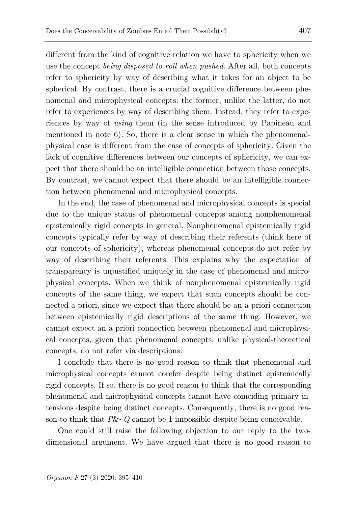different from the kind of cognitive relation we have to sphericity when we use the concept *being disposed to roll when pushed*. After all, both concepts refer to sphericity by way of describing what it takes for an object to be spherical. By contrast, there is a crucial cognitive difference between phenomenal and microphysical concepts: the former, unlike the latter, do not refer to experiences by way of describing them. Instead, they refer to experiences by way of *using* them (in the sense introduced by Papineau and mentioned in note 6). So, there is a clear sense in which the phenomenalphysical case is different from the case of concepts of sphericity. Given the lack of cognitive differences between our concepts of sphericity, we can expect that there should be an intelligible connection between those concepts. By contrast, we cannot expect that there should be an intelligible connection between phenomenal and microphysical concepts.

In the end, the case of phenomenal and microphysical concepts is special due to the unique status of phenomenal concepts among nonphenomenal epistemically rigid concepts in general. Nonphenomenal epistemically rigid concepts typically refer by way of describing their referents (think here of our concepts of sphericity), whereas phenomenal concepts do not refer by way of describing their referents. This explains why the expectation of transparency is unjustified uniquely in the case of phenomenal and microphysical concepts. When we think of nonphenomenal epistemically rigid concepts of the same thing, we expect that such concepts should be connected a priori, since we expect that there should be an a priori connection between epistemically rigid descriptions of the same thing. However, we cannot expect an a priori connection between phenomenal and microphysical concepts, given that phenomenal concepts, unlike physical-theoretical concepts, do not refer via descriptions.

I conclude that there is no good reason to think that phenomenal and microphysical concepts cannot corefer despite being distinct epistemically rigid concepts. If so, there is no good reason to think that the corresponding phenomenal and microphysical concepts cannot have coinciding primary intensions despite being distinct concepts. Consequently, there is no good reason to think that  $P&&\sim Q$  cannot be 1-impossible despite being conceivable.

One could still raise the following objection to our reply to the twodimensional argument. We have argued that there is no good reason to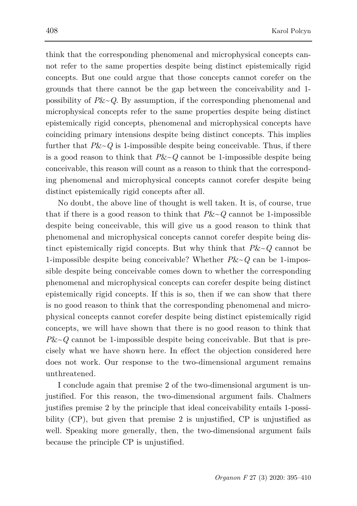think that the corresponding phenomenal and microphysical concepts cannot refer to the same properties despite being distinct epistemically rigid concepts. But one could argue that those concepts cannot corefer on the grounds that there cannot be the gap between the conceivability and 1 possibility of  $P&&\sim Q$ . By assumption, if the corresponding phenomenal and microphysical concepts refer to the same properties despite being distinct epistemically rigid concepts, phenomenal and microphysical concepts have coinciding primary intensions despite being distinct concepts. This implies further that *P*&~*Q* is 1-impossible despite being conceivable. Thus, if there is a good reason to think that *P*&~*Q* cannot be 1-impossible despite being conceivable, this reason will count as a reason to think that the corresponding phenomenal and microphysical concepts cannot corefer despite being distinct epistemically rigid concepts after all.

No doubt, the above line of thought is well taken. It is, of course, true that if there is a good reason to think that  $P\&\sim Q$  cannot be 1-impossible despite being conceivable, this will give us a good reason to think that phenomenal and microphysical concepts cannot corefer despite being distinct epistemically rigid concepts. But why think that  $P&&\sim Q$  cannot be 1-impossible despite being conceivable? Whether *P*&~*Q* can be 1-impossible despite being conceivable comes down to whether the corresponding phenomenal and microphysical concepts can corefer despite being distinct epistemically rigid concepts. If this is so, then if we can show that there is no good reason to think that the corresponding phenomenal and microphysical concepts cannot corefer despite being distinct epistemically rigid concepts, we will have shown that there is no good reason to think that  $P\&\sim Q$  cannot be 1-impossible despite being conceivable. But that is precisely what we have shown here. In effect the objection considered here does not work. Our response to the two-dimensional argument remains unthreatened.

I conclude again that premise 2 of the two-dimensional argument is unjustified. For this reason, the two-dimensional argument fails. Chalmers justifies premise 2 by the principle that ideal conceivability entails 1-possibility (CP), but given that premise 2 is unjustified, CP is unjustified as well. Speaking more generally, then, the two-dimensional argument fails because the principle CP is unjustified.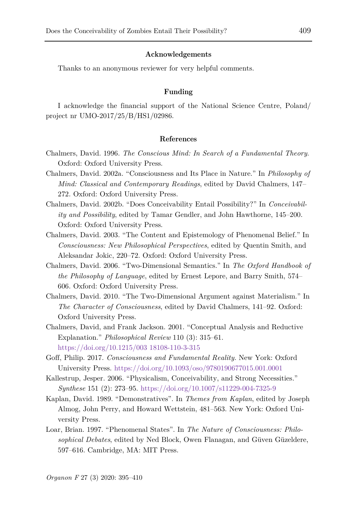### **Acknowledgements**

Thanks to an anonymous reviewer for very helpful comments.

#### **Funding**

I acknowledge the financial support of the National Science Centre, Poland/ project nr UMO-2017/25/B/HS1/02986.

#### **References**

- Chalmers, David. 1996. *The Conscious Mind: In Search of a Fundamental Theory*. Oxford: Oxford University Press.
- Chalmers, David. 2002a. "Consciousness and Its Place in Nature." In *Philosophy of Mind: Classical and Contemporary Readings*, edited by David Chalmers, 147– 272. Oxford: Oxford University Press.
- Chalmers, David. 2002b. "Does Conceivability Entail Possibility?" In *Conceivability and Possibility*, edited by Tamar Gendler, and John Hawthorne, 145–200. Oxford: Oxford University Press.
- Chalmers, David. 2003. "The Content and Epistemology of Phenomenal Belief." In *Consciousness: New Philosophical Perspectives*, edited by Quentin Smith, and Aleksandar Jokic, 220–72. Oxford: Oxford University Press.
- Chalmers, David. 2006. "Two-Dimensional Semantics." In *The Oxford Handbook of the Philosophy of Language*, edited by Ernest Lepore, and Barry Smith, 574– 606. Oxford: Oxford University Press.
- Chalmers, David. 2010. "The Two-Dimensional Argument against Materialism." In *The Character of Consciousness*, edited by David Chalmers, 141–92. Oxford: Oxford University Press.
- Chalmers, David, and Frank Jackson. 2001. "Conceptual Analysis and Reductive Explanation." *Philosophical Review* 110 (3): 315–61. [https://doi.org/10.1215/003 18108-110-3-315](https://doi.org/10.1215/003%2018108-110-3-315)
- Goff, Philip. 2017. *Consciousness and Fundamental Reality*. New York: Oxford University Press. <https://doi.org/10.1093/oso/9780190677015.001.0001>
- Kallestrup, Jesper. 2006. "Physicalism, Conceivability, and Strong Necessities." *Synthese* 151 (2): 273–95. <https://doi.org/10.1007/s11229-004-7325-9>
- Kaplan, David. 1989. "Demonstratives". In *Themes from Kaplan*, edited by Joseph Almog, John Perry, and Howard Wettstein, 481–563. New York: Oxford University Press.
- Loar, Brian. 1997. "Phenomenal States". In *The Nature of Consciousness: Philosophical Debates*, edited by Ned Block, Owen Flanagan, and Güven Güzeldere, 597–616. Cambridge, MA: MIT Press.